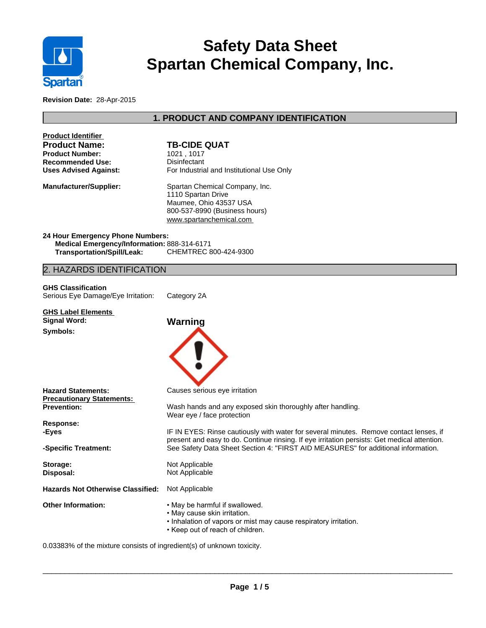

# **Safety Data Sheet Spartan Chemical Company, Inc.**

**Revision Date:** 28-Apr-2015

# **1. PRODUCT AND COMPANY IDENTIFICATION**

| <b>Product Identifier</b>                                              |                                                                                                      |
|------------------------------------------------------------------------|------------------------------------------------------------------------------------------------------|
| <b>Product Name:</b>                                                   | <b>TB-CIDE QUAT</b>                                                                                  |
| <b>Product Number:</b>                                                 | 1021, 1017                                                                                           |
| <b>Recommended Use:</b>                                                | Disinfectant                                                                                         |
| <b>Uses Advised Against:</b>                                           | For Industrial and Institutional Use Only                                                            |
| <b>Manufacturer/Supplier:</b>                                          | Spartan Chemical Company, Inc.                                                                       |
|                                                                        | 1110 Spartan Drive                                                                                   |
|                                                                        | Maumee, Ohio 43537 USA                                                                               |
|                                                                        | 800-537-8990 (Business hours)                                                                        |
|                                                                        | www.spartanchemical.com                                                                              |
| 24 Hour Emergency Phone Numbers:                                       |                                                                                                      |
| Medical Emergency/Information: 888-314-6171                            |                                                                                                      |
| <b>Transportation/Spill/Leak:</b>                                      | CHEMTREC 800-424-9300                                                                                |
| 2. HAZARDS IDENTIFICATION                                              |                                                                                                      |
|                                                                        |                                                                                                      |
| <b>GHS Classification</b><br>Serious Eye Damage/Eye Irritation:        | Category 2A                                                                                          |
|                                                                        |                                                                                                      |
| <b>GHS Label Elements</b>                                              |                                                                                                      |
| <b>Signal Word:</b>                                                    | Warning                                                                                              |
| Symbols:                                                               |                                                                                                      |
|                                                                        |                                                                                                      |
| <b>Hazard Statements:</b><br><b>Precautionary Statements:</b>          | Causes serious eye irritation                                                                        |
| <b>Prevention:</b>                                                     | Wash hands and any exposed skin thoroughly after handling.                                           |
| Response:                                                              | Wear eye / face protection                                                                           |
| -Eyes                                                                  | IF IN EYES: Rinse cautiously with water for several minutes. Remove contact lenses, if               |
|                                                                        | present and easy to do. Continue rinsing. If eye irritation persists: Get medical attention.         |
| -Specific Treatment:                                                   | See Safety Data Sheet Section 4: "FIRST AID MEASURES" for additional information.                    |
| Storage:                                                               | Not Applicable                                                                                       |
| Disposal:                                                              | Not Applicable                                                                                       |
|                                                                        |                                                                                                      |
| Hazards Not Otherwise Classified: Not Applicable                       |                                                                                                      |
| <b>Other Information:</b>                                              | . May be harmful if swallowed.                                                                       |
|                                                                        | • May cause skin irritation.                                                                         |
|                                                                        | . Inhalation of vapors or mist may cause respiratory irritation.<br>• Keep out of reach of children. |
| 0.03383% of the mixture consists of ingredient(s) of unknown toxicity. |                                                                                                      |
|                                                                        |                                                                                                      |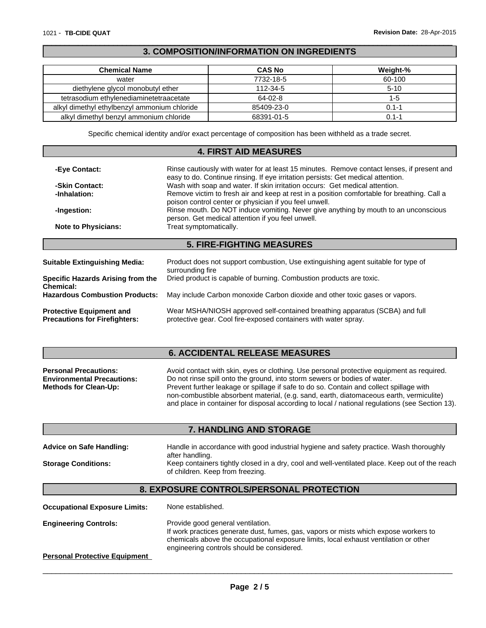I

## **3. COMPOSITION/INFORMATION ON INGREDIENTS**

 $\overline{\phantom{a}}$  ,  $\overline{\phantom{a}}$  ,  $\overline{\phantom{a}}$  ,  $\overline{\phantom{a}}$  ,  $\overline{\phantom{a}}$  ,  $\overline{\phantom{a}}$  ,  $\overline{\phantom{a}}$  ,  $\overline{\phantom{a}}$  ,  $\overline{\phantom{a}}$  ,  $\overline{\phantom{a}}$  ,  $\overline{\phantom{a}}$  ,  $\overline{\phantom{a}}$  ,  $\overline{\phantom{a}}$  ,  $\overline{\phantom{a}}$  ,  $\overline{\phantom{a}}$  ,  $\overline{\phantom{a}}$ 

| <b>Chemical Name</b>                         | <b>CAS No</b> | Weight-% |
|----------------------------------------------|---------------|----------|
| water                                        | 7732-18-5     | 60-100   |
| diethylene glycol monobutyl ether            | 112-34-5      | $5-10$   |
| tetrasodium ethylenediaminetetraacetate      | 64-02-8       | 1-5      |
| alkyl dimethyl ethylbenzyl ammonium chloride | 85409-23-0    | ი 1-1    |
| alkyl dimethyl benzyl ammonium chloride      | 68391-01-5    | ገ 1-1    |

Specific chemical identity and/or exact percentage of composition has been withheld as a trade secret.

## **4. FIRST AID MEASURES**

| Rinse cautiously with water for at least 15 minutes. Remove contact lenses, if present and<br>-Eye Contact:<br>easy to do. Continue rinsing. If eye irritation persists: Get medical attention. |                                                                                                                                                       |  |
|-------------------------------------------------------------------------------------------------------------------------------------------------------------------------------------------------|-------------------------------------------------------------------------------------------------------------------------------------------------------|--|
| -Skin Contact:                                                                                                                                                                                  | Wash with soap and water. If skin irritation occurs: Get medical attention.                                                                           |  |
| -Inhalation:                                                                                                                                                                                    | Remove victim to fresh air and keep at rest in a position comfortable for breathing. Call a<br>poison control center or physician if you feel unwell. |  |
| -Ingestion:                                                                                                                                                                                     | Rinse mouth. Do NOT induce vomiting. Never give anything by mouth to an unconscious<br>person. Get medical attention if you feel unwell.              |  |
| <b>Note to Physicians:</b>                                                                                                                                                                      | Treat symptomatically.                                                                                                                                |  |
|                                                                                                                                                                                                 | <b>5. FIRE-FIGHTING MEASURES</b>                                                                                                                      |  |
|                                                                                                                                                                                                 |                                                                                                                                                       |  |
| <b>Suitable Extinguishing Media:</b>                                                                                                                                                            | Product does not support combustion, Use extinguishing agent suitable for type of<br>surrounding fire                                                 |  |
| <b>Specific Hazards Arising from the</b><br><b>Chemical:</b>                                                                                                                                    | Dried product is capable of burning. Combustion products are toxic.                                                                                   |  |
| <b>Hazardous Combustion Products:</b>                                                                                                                                                           | May include Carbon monoxide Carbon dioxide and other toxic gases or vapors.                                                                           |  |
|                                                                                                                                                                                                 |                                                                                                                                                       |  |

**Protective Equipment and Precautions for Firefighters:** Wear MSHA/NIOSH approved self-contained breathing apparatus (SCBA) and full protective gear. Cool fire-exposed containers with water spray.

# **6. ACCIDENTAL RELEASE MEASURES**

| <b>Personal Precautions:</b>      | Avoid contact with skin, eyes or clothing. Use personal protective equipment as required.       |
|-----------------------------------|-------------------------------------------------------------------------------------------------|
| <b>Environmental Precautions:</b> | Do not rinse spill onto the ground, into storm sewers or bodies of water.                       |
| <b>Methods for Clean-Up:</b>      | Prevent further leakage or spillage if safe to do so. Contain and collect spillage with         |
|                                   | non-combustible absorbent material, (e.g. sand, earth, diatomaceous earth, vermiculite)         |
|                                   | and place in container for disposal according to local / national regulations (see Section 13). |

# **7. HANDLING AND STORAGE**

| <b>Advice on Safe Handling:</b> | Handle in accordance with good industrial hygiene and safety practice. Wash thoroughly<br>after handling.                          |
|---------------------------------|------------------------------------------------------------------------------------------------------------------------------------|
| <b>Storage Conditions:</b>      | Keep containers tightly closed in a dry, cool and well-ventilated place. Keep out of the reach<br>of children. Keep from freezing. |

# **8. EXPOSURE CONTROLS/PERSONAL PROTECTION**

| <b>Occupational Exposure Limits:</b> | None established.                                                                                                                                                                                                                                               |
|--------------------------------------|-----------------------------------------------------------------------------------------------------------------------------------------------------------------------------------------------------------------------------------------------------------------|
| <b>Engineering Controls:</b>         | Provide good general ventilation.<br>If work practices generate dust, fumes, gas, vapors or mists which expose workers to<br>chemicals above the occupational exposure limits, local exhaust ventilation or other<br>engineering controls should be considered. |
| <b>Personal Protective Equipment</b> |                                                                                                                                                                                                                                                                 |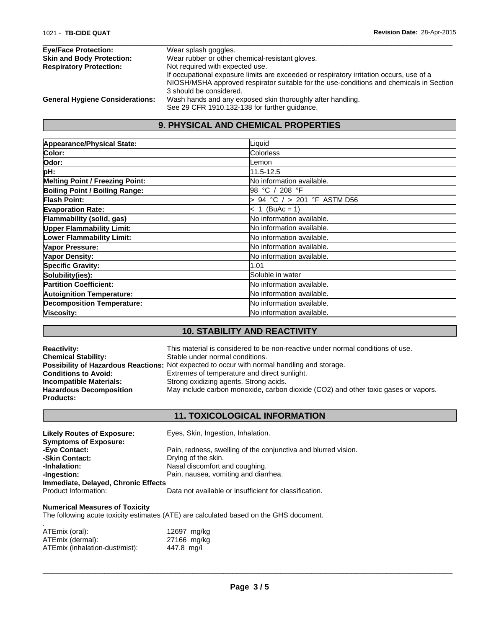| <b>Eye/Face Protection:</b>            | Wear splash goggles.                                                                    |
|----------------------------------------|-----------------------------------------------------------------------------------------|
| <b>Skin and Body Protection:</b>       | Wear rubber or other chemical-resistant gloves.                                         |
| <b>Respiratory Protection:</b>         | Not required with expected use.                                                         |
|                                        | If occupational exposure limits are exceeded or respiratory irritation occurs, use of a |
|                                        | NIOSH/MSHA approved respirator suitable for the use-conditions and chemicals in Section |
|                                        | 3 should be considered.                                                                 |
| <b>General Hygiene Considerations:</b> | Wash hands and any exposed skin thoroughly after handling.                              |
|                                        | See 29 CFR 1910.132-138 for further guidance.                                           |

# **9. PHYSICAL AND CHEMICAL PROPERTIES**

| Appearance/Physical State:        | Liquid                            |
|-----------------------------------|-----------------------------------|
| Color:                            | <b>Colorless</b>                  |
| Odor:                             | Lemon                             |
| pH:                               | 11.5-12.5                         |
| Melting Point / Freezing Point:   | No information available.         |
| Boiling Point / Boiling Range:    | 98 °C / 208 °F                    |
| Flash Point:                      | 94 °C $/$ > 201 °F ASTM D56       |
| <b>Evaporation Rate:</b>          | $< 1$ (BuAc = 1)                  |
| Flammability (solid, gas)         | No information available.         |
| <b>Upper Flammability Limit:</b>  | No information available.         |
| <b>Lower Flammability Limit:</b>  | No information available.         |
| Vapor Pressure:                   | No information available.         |
| Vapor Density:                    | No information available.         |
| <b>Specific Gravity:</b>          | 1.01                              |
| Solubility(ies):                  | Soluble in water                  |
| <b>Partition Coefficient:</b>     | No information available.         |
| <b>Autoignition Temperature:</b>  | No information available.         |
| <b>Decomposition Temperature:</b> | No information available.         |
| Viscosity:                        | <b>INo information available.</b> |

# **10. STABILITY AND REACTIVITY**

| <b>Reactivity:</b>             | This material is considered to be non-reactive under normal conditions of use.                     |
|--------------------------------|----------------------------------------------------------------------------------------------------|
| <b>Chemical Stability:</b>     | Stable under normal conditions.                                                                    |
|                                | <b>Possibility of Hazardous Reactions:</b> Not expected to occur with normal handling and storage. |
| <b>Conditions to Avoid:</b>    | Extremes of temperature and direct sunlight.                                                       |
| Incompatible Materials:        | Strong oxidizing agents. Strong acids.                                                             |
| <b>Hazardous Decomposition</b> | May include carbon monoxide, carbon dioxide (CO2) and other toxic gases or vapors.                 |
| <b>Products:</b>               |                                                                                                    |

# **11. TOXICOLOGICAL INFORMATION**

| <b>Likely Routes of Exposure:</b>   | Eyes, Skin, Ingestion, Inhalation.                             |
|-------------------------------------|----------------------------------------------------------------|
| <b>Symptoms of Exposure:</b>        |                                                                |
| -Eye Contact:                       | Pain, redness, swelling of the conjunctiva and blurred vision. |
| -Skin Contact:                      | Drying of the skin.                                            |
| -Inhalation:                        | Nasal discomfort and coughing.                                 |
| -Ingestion:                         | Pain, nausea, vomiting and diarrhea.                           |
| Immediate, Delayed, Chronic Effects |                                                                |
| Product Information:                | Data not available or insufficient for classification.         |

#### **Numerical Measures of Toxicity**

The following acute toxicity estimates (ATE) are calculated based on the GHS document.

| ATEmix (oral):                 | 12697 mg/kg |  |
|--------------------------------|-------------|--|
| ATEmix (dermal):               | 27166 mg/kg |  |
| ATEmix (inhalation-dust/mist): | 447.8 mg/l  |  |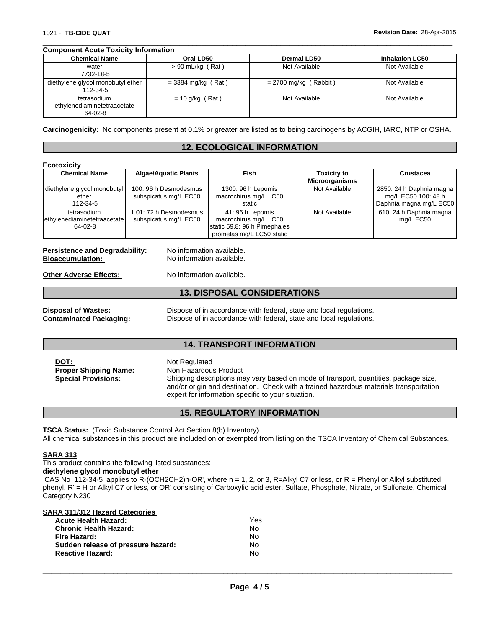#### **Component Acute Toxicity Information**

| <b>Chemical Name</b>                                  | Oral LD50            | <b>Dermal LD50</b>      | <b>Inhalation LC50</b> |
|-------------------------------------------------------|----------------------|-------------------------|------------------------|
| water<br>7732-18-5                                    | $> 90$ mL/kg (Rat)   | Not Available           | Not Available          |
| diethylene glycol monobutyl ether<br>112-34-5         | $=$ 3384 mg/kg (Rat) | $= 2700$ mg/kg (Rabbit) | Not Available          |
| tetrasodium<br>ethylenediaminetetraacetate<br>64-02-8 | $= 10$ g/kg (Rat)    | Not Available           | Not Available          |

 $\overline{\phantom{a}}$  ,  $\overline{\phantom{a}}$  ,  $\overline{\phantom{a}}$  ,  $\overline{\phantom{a}}$  ,  $\overline{\phantom{a}}$  ,  $\overline{\phantom{a}}$  ,  $\overline{\phantom{a}}$  ,  $\overline{\phantom{a}}$  ,  $\overline{\phantom{a}}$  ,  $\overline{\phantom{a}}$  ,  $\overline{\phantom{a}}$  ,  $\overline{\phantom{a}}$  ,  $\overline{\phantom{a}}$  ,  $\overline{\phantom{a}}$  ,  $\overline{\phantom{a}}$  ,  $\overline{\phantom{a}}$ 

**Carcinogenicity:** No components present at 0.1% or greater are listed as to being carcinogens by ACGIH, IARC, NTP or OSHA.

#### **12. ECOLOGICAL INFORMATION**

| <b>Ecotoxicity</b>                                       |                                                 |                                                                                                        |                                             |                                                                            |
|----------------------------------------------------------|-------------------------------------------------|--------------------------------------------------------------------------------------------------------|---------------------------------------------|----------------------------------------------------------------------------|
| <b>Chemical Name</b>                                     | <b>Algae/Aquatic Plants</b>                     | Fish                                                                                                   | <b>Toxicity to</b><br><b>Microorganisms</b> | Crustacea                                                                  |
| diethylene glycol monobutyl<br>ether<br>112-34-5         | 100: 96 h Desmodesmus<br>subspicatus mg/L EC50  | 1300: 96 h Lepomis<br>macrochirus mg/L LC50<br>static                                                  | Not Available                               | 2850: 24 h Daphnia magna<br>mg/L EC50 100: 48 h<br>Daphnia magna mg/L EC50 |
| tetrasodium<br>lethylenediaminetetraacetate<br>$64-02-8$ | 1.01: 72 h Desmodesmus<br>subspicatus mg/L EC50 | 41: 96 h Lepomis<br>macrochirus mg/L LC50<br>static 59.8: 96 h Pimephales<br>promelas mg/L LC50 static | Not Available                               | 610: 24 h Daphnia magna<br>mg/L EC50                                       |

**Persistence and Degradability:** No information available.<br> **Bioaccumulation:** No information available.

No information available.

**Other Adverse Effects:** No information available.

## **13. DISPOSAL CONSIDERATIONS**

| <b>Disposal of Wastes:</b>     |  |
|--------------------------------|--|
| <b>Contaminated Packaging:</b> |  |

Dispose of in accordance with federal, state and local regulations. Dispose of in accordance with federal, state and local regulations.

#### **14. TRANSPORT INFORMATION**

| DOT:<br><b>Proper Shipping Name:</b><br><b>Special Provisions:</b> | Not Regulated<br>Non Hazardous Product<br>Shipping descriptions may vary based on mode of transport, quantities, package size,<br>and/or origin and destination. Check with a trained hazardous materials transportation<br>expert for information specific to your situation. |
|--------------------------------------------------------------------|--------------------------------------------------------------------------------------------------------------------------------------------------------------------------------------------------------------------------------------------------------------------------------|
|--------------------------------------------------------------------|--------------------------------------------------------------------------------------------------------------------------------------------------------------------------------------------------------------------------------------------------------------------------------|

## **15. REGULATORY INFORMATION**

**TSCA Status:** (Toxic Substance Control Act Section 8(b) Inventory)

All chemical substances in this product are included on or exempted from listing on the TSCA Inventory of Chemical Substances.

## **SARA 313**

This product contains the following listed substances:

**diethylene glycol monobutyl ether**

CAS No 112-34-5 applies to R-(OCH2CH2)n-OR', where  $n = 1, 2$ , or 3, R=Alkyl C7 or less, or R = Phenyl or Alkyl substituted phenyl, R' = H or Alkyl C7 or less, or OR' consisting of Carboxylic acid ester, Sulfate, Phosphate, Nitrate, or Sulfonate, Chemical Category N230

| <b>SARA 311/312 Hazard Categories</b> |     |  |
|---------------------------------------|-----|--|
| <b>Acute Health Hazard:</b>           | Yes |  |
| <b>Chronic Health Hazard:</b>         | No  |  |
| Fire Hazard:                          | No  |  |
| Sudden release of pressure hazard:    | No  |  |
| <b>Reactive Hazard:</b>               | No  |  |
|                                       |     |  |
|                                       |     |  |